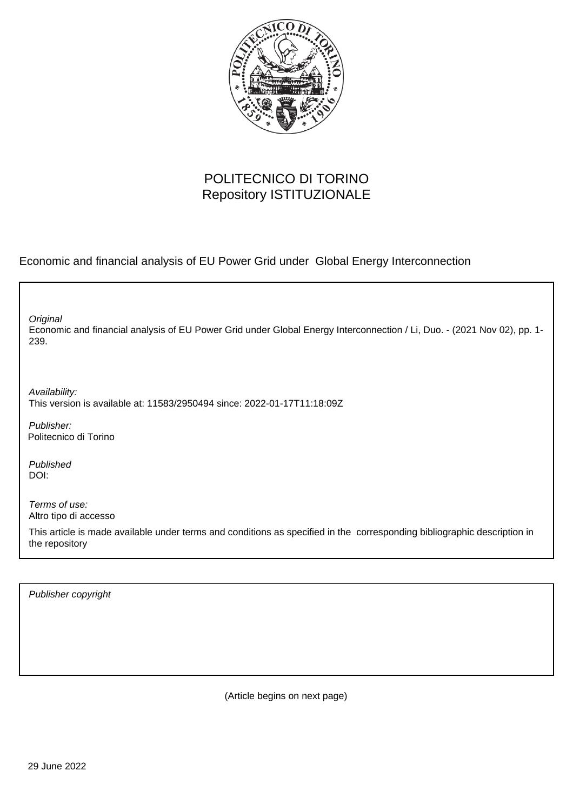

### POLITECNICO DI TORINO Repository ISTITUZIONALE

Economic and financial analysis of EU Power Grid under Global Energy Interconnection

Economic and financial analysis of EU Power Grid under Global Energy Interconnection / Li, Duo. - (2021 Nov 02), pp. 1- 239. **Original** 

Availability: This version is available at: 11583/2950494 since: 2022-01-17T11:18:09Z

Publisher: Politecnico di Torino

Published DOI:

Terms of use: Altro tipo di accesso

This article is made available under terms and conditions as specified in the corresponding bibliographic description in the repository

Publisher copyright

(Article begins on next page)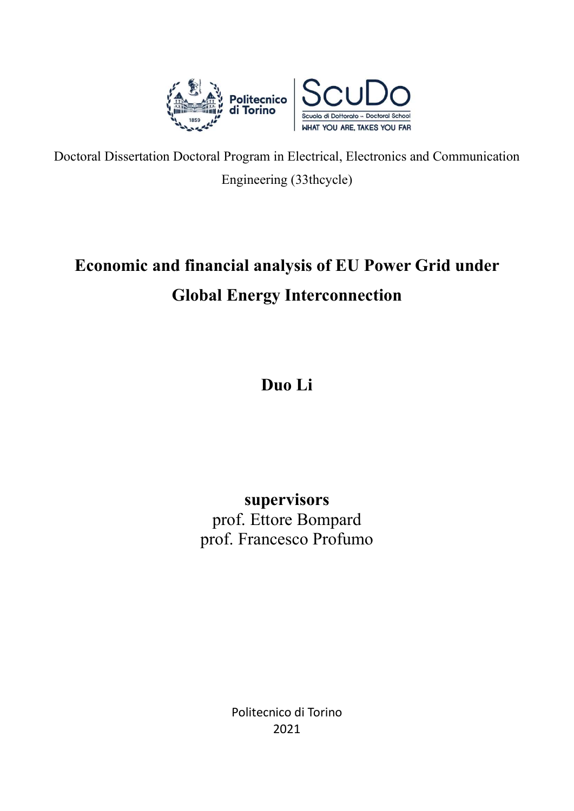

Doctoral Dissertation Doctoral Program in Electrical, Electronics and Communication Engineering (33thcycle)

# Economic and financial analysis of EU Power Grid under Global Energy Interconnection

## Duo Li

### supervisors prof. Ettore Bompard prof. Francesco Profumo

Politecnico di Torino 2021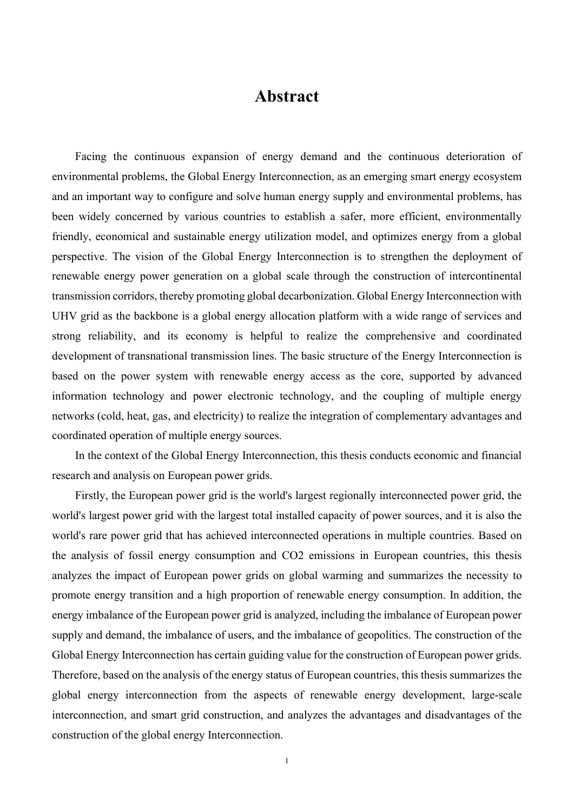### Abstract

Facing the continuous expansion of energy demand and the continuous deterioration of environmental problems, the Global Energy Interconnection, as an emerging smart energy ecosystem and an important way to configure and solve human energy supply and environmental problems, has been widely concerned by various countries to establish a safer, more efficient, environmentally friendly, economical and sustainable energy utilization model, and optimizes energy from a global perspective. The vision of the Global Energy Interconnection is to strengthen the deployment of renewable energy power generation on a global scale through the construction of intercontinental transmission corridors, thereby promoting global decarbonization. Global Energy Interconnection with UHV grid as the backbone is a global energy allocation platform with a wide range of services and strong reliability, and its economy is helpful to realize the comprehensive and coordinated development of transnational transmission lines. The basic structure of the Energy Interconnection is based on the power system with renewable energy access as the core, supported by advanced information technology and power electronic technology, and the coupling of multiple energy networks (cold, heat, gas, and electricity) to realize the integration of complementary advantages and coordinated operation of multiple energy sources.

In the context of the Global Energy Interconnection, this thesis conducts economic and financial research and analysis on European power grids.

Firstly, the European power grid is the world's largest regionally interconnected power grid, the world's largest power grid with the largest total installed capacity of power sources, and it is also the world's rare power grid that has achieved interconnected operations in multiple countries. Based on the analysis of fossil energy consumption and CO2 emissions in European countries, this thesis analyzes the impact of European power grids on global warming and summarizes the necessity to promote energy transition and a high proportion of renewable energy consumption. In addition, the energy imbalance of the European power grid is analyzed, including the imbalance of European power supply and demand, the imbalance of users, and the imbalance of geopolitics. The construction of the Global Energy Interconnection has certain guiding value for the construction of European power grids. Therefore, based on the analysis of the energy status of European countries, this thesis summarizes the global energy interconnection from the aspects of renewable energy development, large-scale interconnection, and smart grid construction, and analyzes the advantages and disadvantages of the construction of the global energy Interconnection.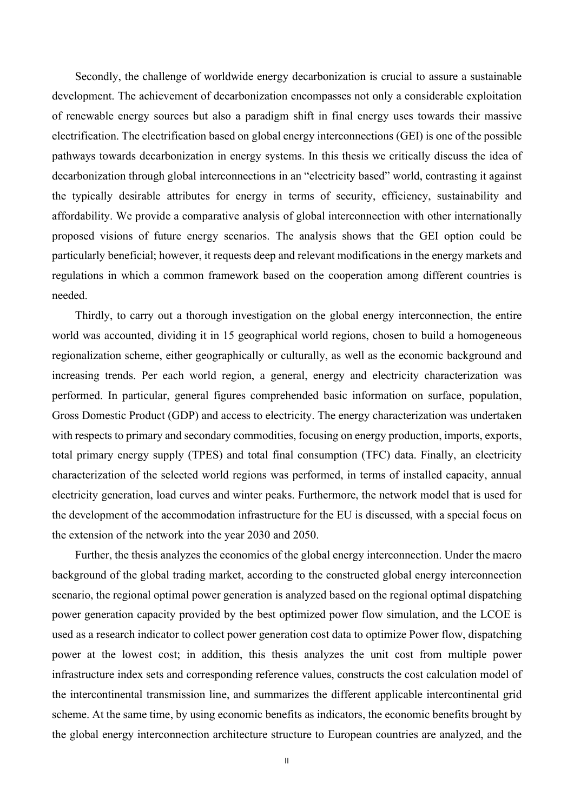Secondly, the challenge of worldwide energy decarbonization is crucial to assure a sustainable development. The achievement of decarbonization encompasses not only a considerable exploitation of renewable energy sources but also a paradigm shift in final energy uses towards their massive electrification. The electrification based on global energy interconnections (GEI) is one of the possible pathways towards decarbonization in energy systems. In this thesis we critically discuss the idea of decarbonization through global interconnections in an "electricity based" world, contrasting it against the typically desirable attributes for energy in terms of security, efficiency, sustainability and affordability. We provide a comparative analysis of global interconnection with other internationally proposed visions of future energy scenarios. The analysis shows that the GEI option could be particularly beneficial; however, it requests deep and relevant modifications in the energy markets and regulations in which a common framework based on the cooperation among different countries is needed.

Thirdly, to carry out a thorough investigation on the global energy interconnection, the entire world was accounted, dividing it in 15 geographical world regions, chosen to build a homogeneous regionalization scheme, either geographically or culturally, as well as the economic background and increasing trends. Per each world region, a general, energy and electricity characterization was performed. In particular, general figures comprehended basic information on surface, population, Gross Domestic Product (GDP) and access to electricity. The energy characterization was undertaken with respects to primary and secondary commodities, focusing on energy production, imports, exports, total primary energy supply (TPES) and total final consumption (TFC) data. Finally, an electricity characterization of the selected world regions was performed, in terms of installed capacity, annual electricity generation, load curves and winter peaks. Furthermore, the network model that is used for the development of the accommodation infrastructure for the EU is discussed, with a special focus on the extension of the network into the year 2030 and 2050.

Further, the thesis analyzes the economics of the global energy interconnection. Under the macro background of the global trading market, according to the constructed global energy interconnection scenario, the regional optimal power generation is analyzed based on the regional optimal dispatching power generation capacity provided by the best optimized power flow simulation, and the LCOE is used as a research indicator to collect power generation cost data to optimize Power flow, dispatching power at the lowest cost; in addition, this thesis analyzes the unit cost from multiple power infrastructure index sets and corresponding reference values, constructs the cost calculation model of the intercontinental transmission line, and summarizes the different applicable intercontinental grid scheme. At the same time, by using economic benefits as indicators, the economic benefits brought by the global energy interconnection architecture structure to European countries are analyzed, and the